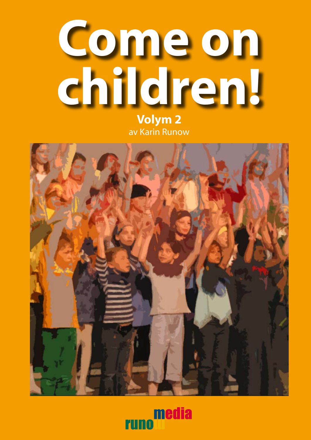

av Karin Runow



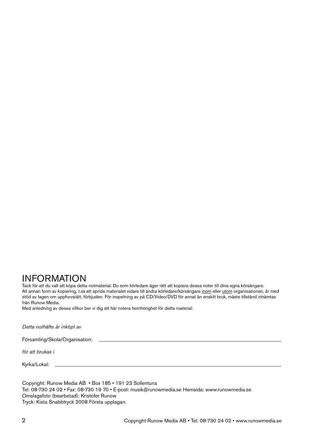#### INFORMATION

Tack för att du valt att köpa detta notmaterial. Du som körledare äger rätt att kopiera dessa noter till dina egna körsångare. All annan form av kopiering, t.ex att sprida materialet vidare till andra körledare/körsångare inom eller utom organisationen, är med stöd av lagen om upphovsrätt, förbjuden. För inspelning av på CD/Video/DVD för annat än enskilt bruk, måste tillstånd inhämtas från Runow Media.

Med anledning av dessa villkor ber vi dig att här notera hemhörighet för detta material:

*Detta nothäfte är inköpt av*

Församling/Skola/Organisation:

*för att brukas i*

Kyrka/Lokal:

Copyright: Runow Media AB • Box 185 • 191 23 Sollentuna Tel: 08-730 24 02 • Fax: 08-730 19 70 • E-post: musik@runowmedia.se Hemsida: www.runowmedia.se Omslagsfoto (bearbetad): Kristofer Runow Tryck: Kista Snabbtryck 2008 Första upplagan.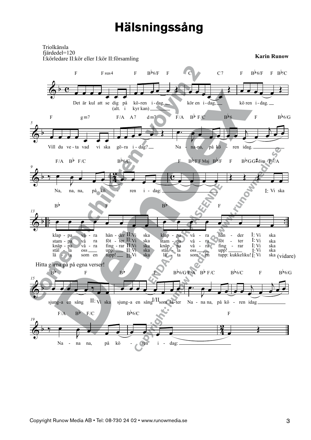#### **Hälsningssång**

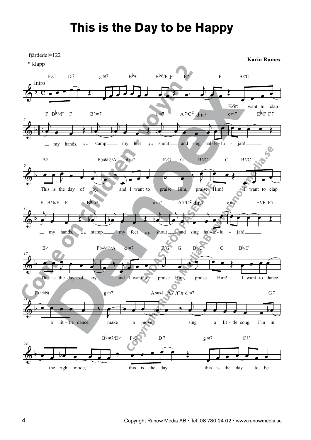#### **This is the Day to be Happy**

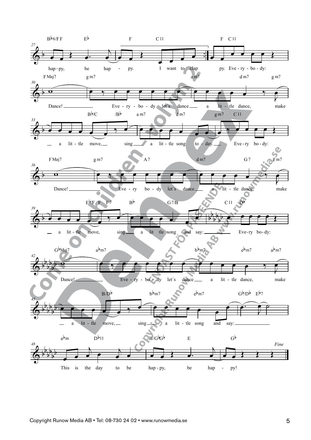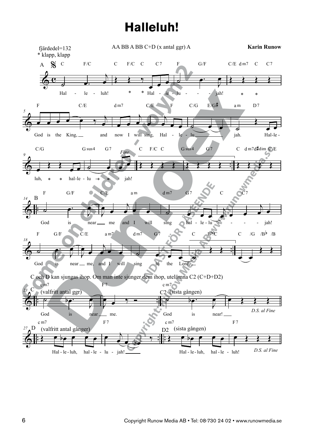# **Halleluh! Halleluh!**

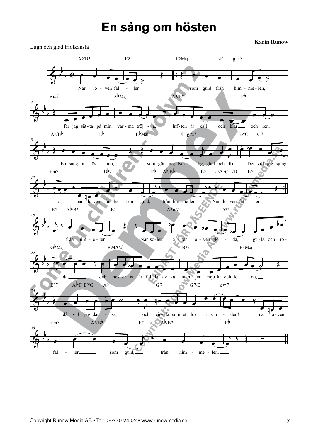#### **En sång om hösten En sång om Hösten**

**Karin Runow**



Lugn och glad triolkänsla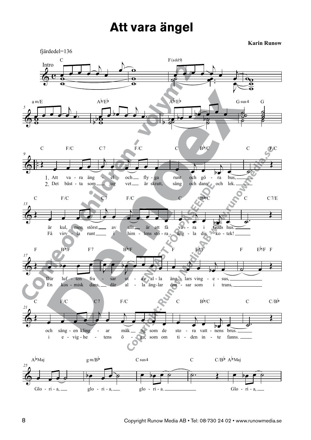## **Att vara ängel Att vara ängel**

**Karin Runow**



&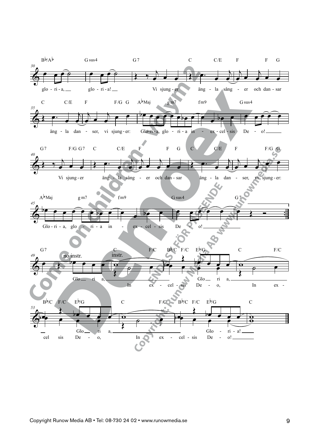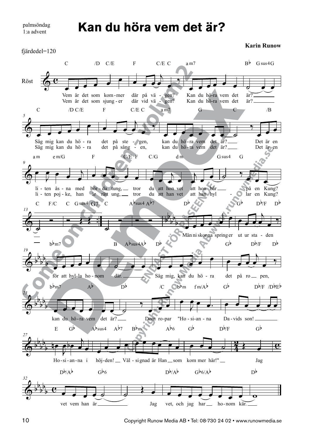palmsöndag palmsöndag 1:a advent 1:a advent

#### **Kan du höra vem det är? Kan du höra vem det är? Kan du höra vem det är?**

fjärdedel=120 fjärdedel=120

**Karin Runow Karin Runow**



10 Copyright Runow Media AB • Tel: 08-730 24 02 • www.runowmedia.se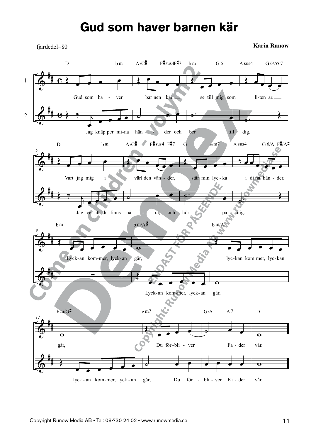### **Gud som haver barnen kär Gud som haver barnen kär**